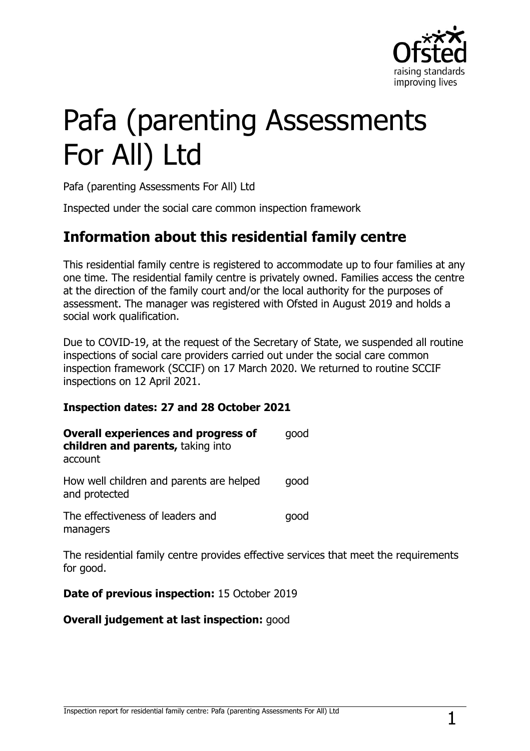

# Pafa (parenting Assessments For All) Ltd

Pafa (parenting Assessments For All) Ltd

Inspected under the social care common inspection framework

## **Information about this residential family centre**

This residential family centre is registered to accommodate up to four families at any one time. The residential family centre is privately owned. Families access the centre at the direction of the family court and/or the local authority for the purposes of assessment. The manager was registered with Ofsted in August 2019 and holds a social work qualification.

Due to COVID-19, at the request of the Secretary of State, we suspended all routine inspections of social care providers carried out under the social care common inspection framework (SCCIF) on 17 March 2020. We returned to routine SCCIF inspections on 12 April 2021.

#### **Inspection dates: 27 and 28 October 2021**

| <b>Overall experiences and progress of</b><br>children and parents, taking into<br>account | qood |
|--------------------------------------------------------------------------------------------|------|
| How well children and parents are helped<br>and protected                                  | qood |
| The effectiveness of leaders and<br>managers                                               | qood |

The residential family centre provides effective services that meet the requirements for good.

**Date of previous inspection:** 15 October 2019

**Overall judgement at last inspection:** good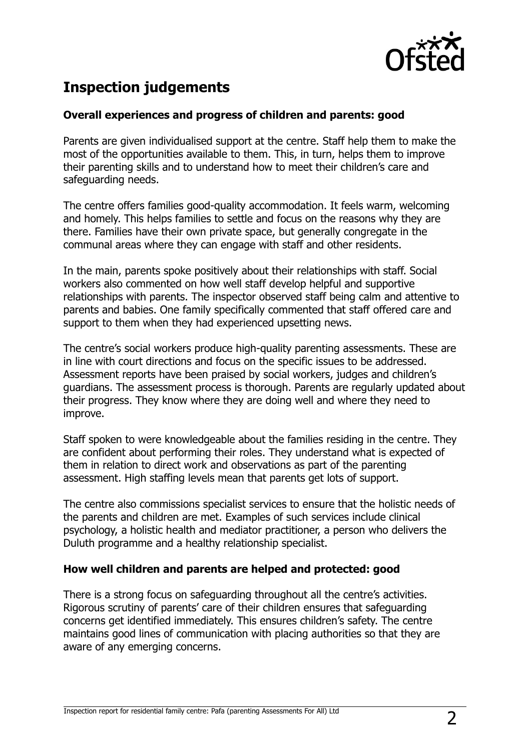

## **Inspection judgements**

#### **Overall experiences and progress of children and parents: good**

Parents are given individualised support at the centre. Staff help them to make the most of the opportunities available to them. This, in turn, helps them to improve their parenting skills and to understand how to meet their children's care and safeguarding needs.

The centre offers families good-quality accommodation. It feels warm, welcoming and homely. This helps families to settle and focus on the reasons why they are there. Families have their own private space, but generally congregate in the communal areas where they can engage with staff and other residents.

In the main, parents spoke positively about their relationships with staff. Social workers also commented on how well staff develop helpful and supportive relationships with parents. The inspector observed staff being calm and attentive to parents and babies. One family specifically commented that staff offered care and support to them when they had experienced upsetting news.

The centre's social workers produce high-quality parenting assessments. These are in line with court directions and focus on the specific issues to be addressed. Assessment reports have been praised by social workers, judges and children's guardians. The assessment process is thorough. Parents are regularly updated about their progress. They know where they are doing well and where they need to improve.

Staff spoken to were knowledgeable about the families residing in the centre. They are confident about performing their roles. They understand what is expected of them in relation to direct work and observations as part of the parenting assessment. High staffing levels mean that parents get lots of support.

The centre also commissions specialist services to ensure that the holistic needs of the parents and children are met. Examples of such services include clinical psychology, a holistic health and mediator practitioner, a person who delivers the Duluth programme and a healthy relationship specialist.

#### **How well children and parents are helped and protected: good**

There is a strong focus on safeguarding throughout all the centre's activities. Rigorous scrutiny of parents' care of their children ensures that safeguarding concerns get identified immediately. This ensures children's safety. The centre maintains good lines of communication with placing authorities so that they are aware of any emerging concerns.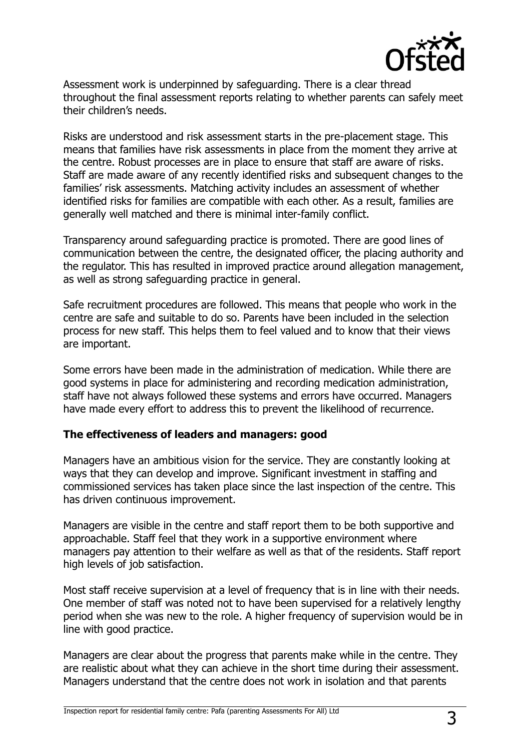

Assessment work is underpinned by safeguarding. There is a clear thread throughout the final assessment reports relating to whether parents can safely meet their children's needs.

Risks are understood and risk assessment starts in the pre-placement stage. This means that families have risk assessments in place from the moment they arrive at the centre. Robust processes are in place to ensure that staff are aware of risks. Staff are made aware of any recently identified risks and subsequent changes to the families' risk assessments. Matching activity includes an assessment of whether identified risks for families are compatible with each other. As a result, families are generally well matched and there is minimal inter-family conflict.

Transparency around safeguarding practice is promoted. There are good lines of communication between the centre, the designated officer, the placing authority and the regulator. This has resulted in improved practice around allegation management, as well as strong safeguarding practice in general.

Safe recruitment procedures are followed. This means that people who work in the centre are safe and suitable to do so. Parents have been included in the selection process for new staff. This helps them to feel valued and to know that their views are important.

Some errors have been made in the administration of medication. While there are good systems in place for administering and recording medication administration, staff have not always followed these systems and errors have occurred. Managers have made every effort to address this to prevent the likelihood of recurrence.

#### **The effectiveness of leaders and managers: good**

Managers have an ambitious vision for the service. They are constantly looking at ways that they can develop and improve. Significant investment in staffing and commissioned services has taken place since the last inspection of the centre. This has driven continuous improvement.

Managers are visible in the centre and staff report them to be both supportive and approachable. Staff feel that they work in a supportive environment where managers pay attention to their welfare as well as that of the residents. Staff report high levels of job satisfaction.

Most staff receive supervision at a level of frequency that is in line with their needs. One member of staff was noted not to have been supervised for a relatively lengthy period when she was new to the role. A higher frequency of supervision would be in line with good practice.

Managers are clear about the progress that parents make while in the centre. They are realistic about what they can achieve in the short time during their assessment. Managers understand that the centre does not work in isolation and that parents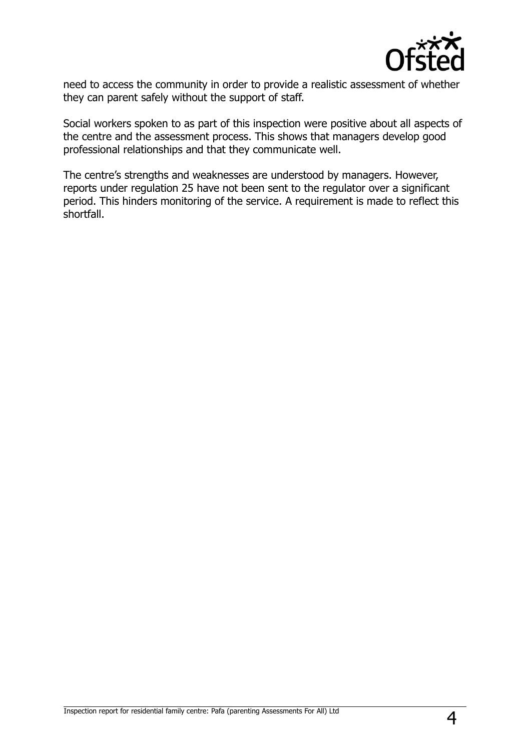

need to access the community in order to provide a realistic assessment of whether they can parent safely without the support of staff.

Social workers spoken to as part of this inspection were positive about all aspects of the centre and the assessment process. This shows that managers develop good professional relationships and that they communicate well.

The centre's strengths and weaknesses are understood by managers. However, reports under regulation 25 have not been sent to the regulator over a significant period. This hinders monitoring of the service. A requirement is made to reflect this shortfall.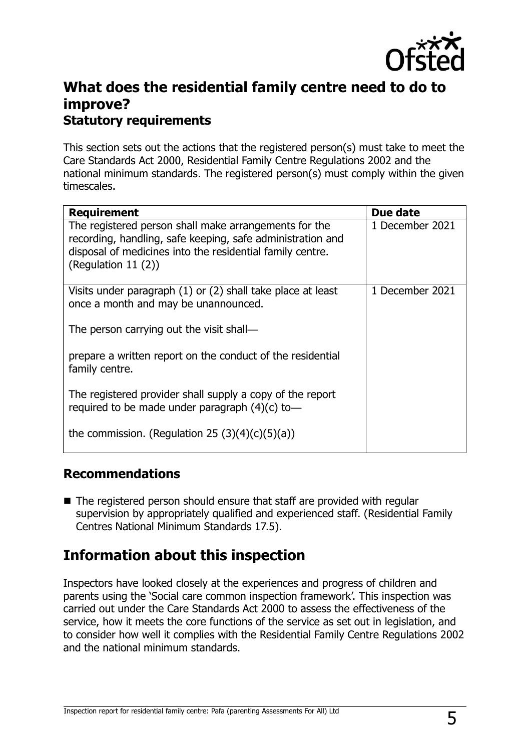

## **What does the residential family centre need to do to improve? Statutory requirements**

This section sets out the actions that the registered person(s) must take to meet the Care Standards Act 2000, Residential Family Centre Regulations 2002 and the national minimum standards. The registered person(s) must comply within the given timescales.

| <b>Requirement</b>                                                                                                                                                                                         | Due date        |
|------------------------------------------------------------------------------------------------------------------------------------------------------------------------------------------------------------|-----------------|
| The registered person shall make arrangements for the<br>recording, handling, safe keeping, safe administration and<br>disposal of medicines into the residential family centre.<br>(Regulation 11 $(2)$ ) | 1 December 2021 |
| Visits under paragraph $(1)$ or $(2)$ shall take place at least<br>once a month and may be unannounced.                                                                                                    | 1 December 2021 |
| The person carrying out the visit shall—                                                                                                                                                                   |                 |
| prepare a written report on the conduct of the residential<br>family centre.                                                                                                                               |                 |
| The registered provider shall supply a copy of the report<br>required to be made under paragraph $(4)(c)$ to-                                                                                              |                 |
| the commission. (Regulation 25 $(3)(4)(c)(5)(a)$ )                                                                                                                                                         |                 |

### **Recommendations**

■ The registered person should ensure that staff are provided with regular supervision by appropriately qualified and experienced staff. (Residential Family Centres National Minimum Standards 17.5).

## **Information about this inspection**

Inspectors have looked closely at the experiences and progress of children and parents using the 'Social care common inspection framework'. This inspection was carried out under the Care Standards Act 2000 to assess the effectiveness of the service, how it meets the core functions of the service as set out in legislation, and to consider how well it complies with the Residential Family Centre Regulations 2002 and the national minimum standards.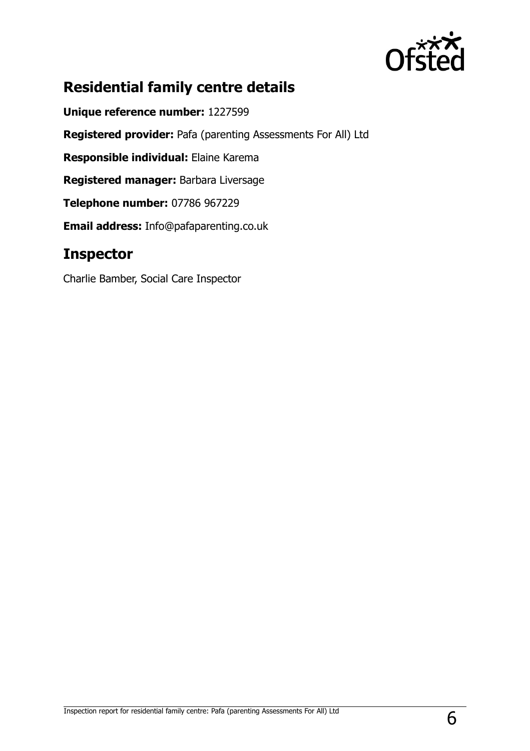

## **Residential family centre details**

**Unique reference number:** 1227599 **Registered provider:** Pafa (parenting Assessments For All) Ltd **Responsible individual:** Elaine Karema **Registered manager:** Barbara Liversage **Telephone number:** 07786 967229 **Email address:** Info@pafaparenting.co.uk

## **Inspector**

Charlie Bamber, Social Care Inspector